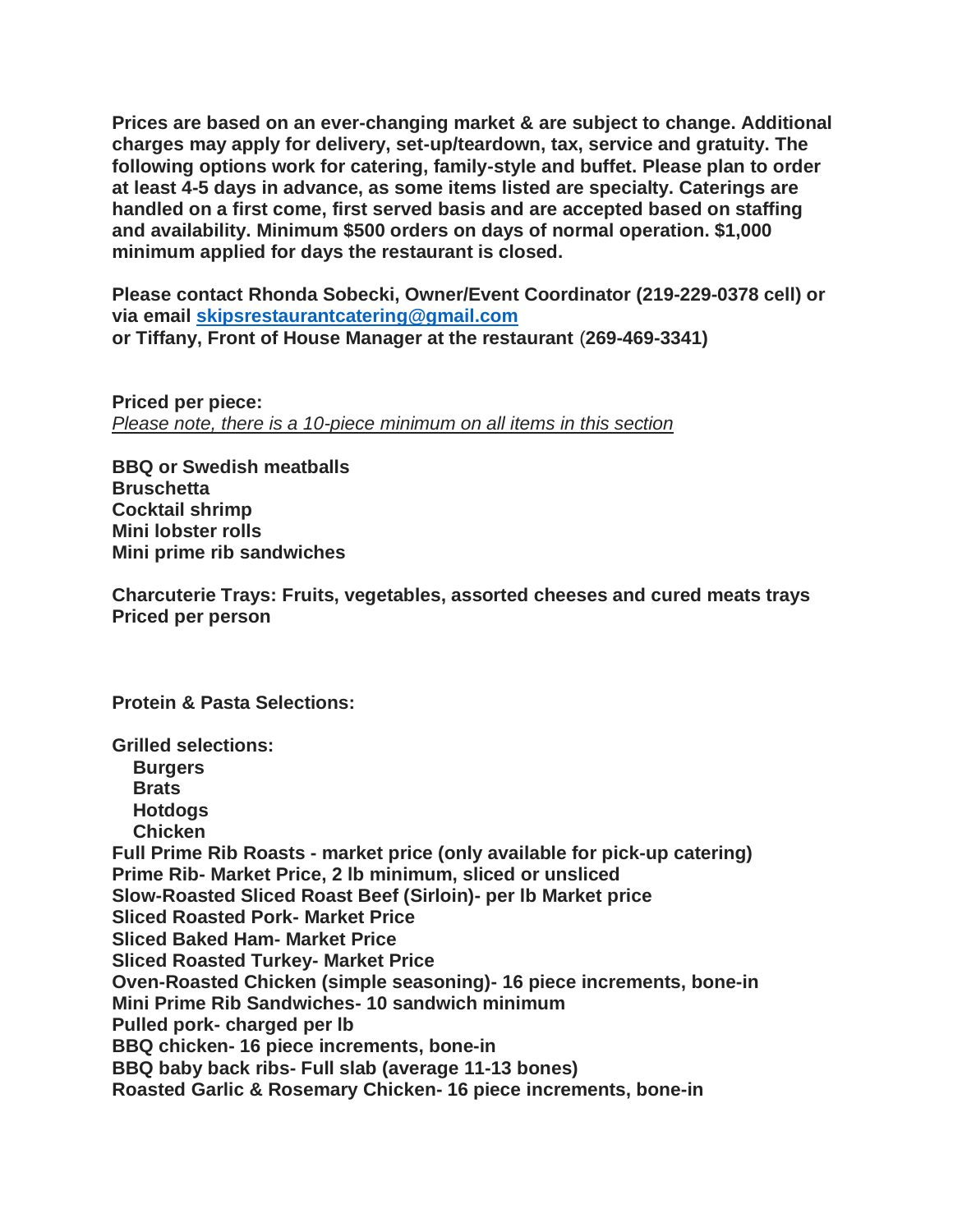**Prices are based on an ever-changing market & are subject to change. Additional charges may apply for delivery, set-up/teardown, tax, service and gratuity. The following options work for catering, family-style and buffet. Please plan to order at least 4-5 days in advance, as some items listed are specialty. Caterings are handled on a first come, first served basis and are accepted based on staffing and availability. Minimum \$500 orders on days of normal operation. \$1,000 minimum applied for days the restaurant is closed.** 

**Please contact Rhonda Sobecki, Owner/Event Coordinator (219-229-0378 cell) or via email [skipsrestaurantcatering@gmail.com](mailto:skipsrestaurantcatering@gmail.com) or Tiffany, Front of House Manager at the restaurant** (**269-469-3341)**

**Priced per piece:** *Please note, there is a 10-piece minimum on all items in this section*

**BBQ or Swedish meatballs Bruschetta Cocktail shrimp Mini lobster rolls Mini prime rib sandwiches**

**Charcuterie Trays: Fruits, vegetables, assorted cheeses and cured meats trays Priced per person**

**Protein & Pasta Selections:**

**Grilled selections: Burgers Brats Hotdogs Chicken Full Prime Rib Roasts - market price (only available for pick-up catering) Prime Rib- Market Price, 2 lb minimum, sliced or unsliced Slow-Roasted Sliced Roast Beef (Sirloin)- per lb Market price Sliced Roasted Pork- Market Price Sliced Baked Ham- Market Price Sliced Roasted Turkey- Market Price Oven-Roasted Chicken (simple seasoning)- 16 piece increments, bone-in Mini Prime Rib Sandwiches- 10 sandwich minimum Pulled pork- charged per lb BBQ chicken- 16 piece increments, bone-in BBQ baby back ribs- Full slab (average 11-13 bones) Roasted Garlic & Rosemary Chicken- 16 piece increments, bone-in**